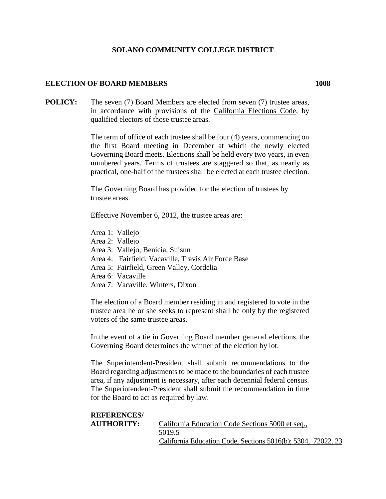## **SOLANO COMMUNITY COLLEGE DISTRICT**

## **ELECTION OF BOARD MEMBERS 1008**

**POLICY:** The seven (7) Board Members are elected from seven (7) trustee areas, in accordance with provisions of the California Elections Code, by qualified electors of those trustee areas.

> The term of office of each trustee shall be four (4) years, commencing on the first Board meeting in December at which the newly elected Governing Board meets. Elections shall be held every two years, in even numbered years. Terms of trustees are staggered so that, as nearly as practical, one-half of the trustees shall be elected at each trustee election.

The Governing Board has provided for the election of trustees by trustee areas.

Effective November 6, 2012, the trustee areas are:

- Area 1: Vallejo
- Area 2: Vallejo
- Area 3: Vallejo, Benicia, Suisun
- Area 4: Fairfield, Vacaville, Travis Air Force Base
- Area 5: Fairfield, Green Valley, Cordelia
- Area 6: Vacaville
- Area 7: Vacaville, Winters, Dixon

The election of a Board member residing in and registered to vote in the trustee area he or she seeks to represent shall be only by the registered voters of the same trustee areas.

In the event of a tie in Governing Board member general elections, the Governing Board determines the winner of the election by lot.

The Superintendent-President shall submit recommendations to the Board regarding adjustments to be made to the boundaries of each trustee area, if any adjustment is necessary, after each decennial federal census. The Superintendent-President shall submit the recommendation in time for the Board to act as required by law.

| <b>REFERENCES</b> |                                                              |  |
|-------------------|--------------------------------------------------------------|--|
| <b>AUTHORITY:</b> | California Education Code Sections 5000 et seq.,             |  |
|                   | 5019.5                                                       |  |
|                   | California Education Code, Sections 5016(b); 5304, 72022. 23 |  |